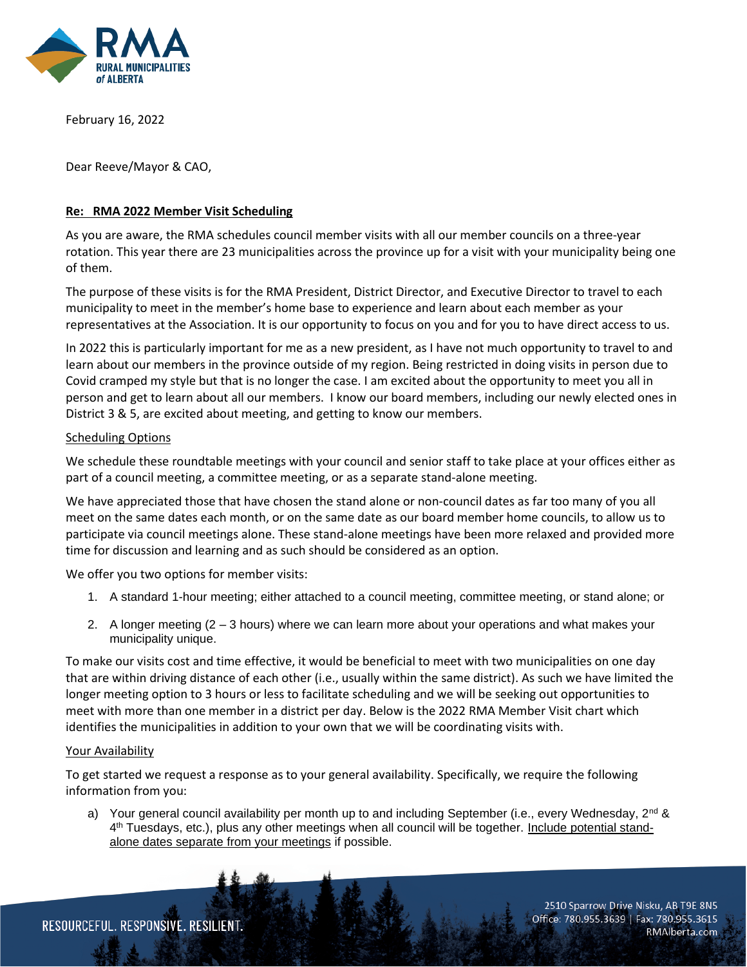

February 16, 2022

Dear Reeve/Mayor & CAO,

## **Re: RMA 2022 Member Visit Scheduling**

As you are aware, the RMA schedules council member visits with all our member councils on a three-year rotation. This year there are 23 municipalities across the province up for a visit with your municipality being one of them.

The purpose of these visits is for the RMA President, District Director, and Executive Director to travel to each municipality to meet in the member's home base to experience and learn about each member as your representatives at the Association. It is our opportunity to focus on you and for you to have direct access to us.

In 2022 this is particularly important for me as a new president, as I have not much opportunity to travel to and learn about our members in the province outside of my region. Being restricted in doing visits in person due to Covid cramped my style but that is no longer the case. I am excited about the opportunity to meet you all in person and get to learn about all our members. I know our board members, including our newly elected ones in District 3 & 5, are excited about meeting, and getting to know our members.

## Scheduling Options

We schedule these roundtable meetings with your council and senior staff to take place at your offices either as part of a council meeting, a committee meeting, or as a separate stand-alone meeting.

We have appreciated those that have chosen the stand alone or non-council dates as far too many of you all meet on the same dates each month, or on the same date as our board member home councils, to allow us to participate via council meetings alone. These stand-alone meetings have been more relaxed and provided more time for discussion and learning and as such should be considered as an option.

We offer you two options for member visits:

- 1. A standard 1-hour meeting; either attached to a council meeting, committee meeting, or stand alone; or
- 2. A longer meeting (2 3 hours) where we can learn more about your operations and what makes your municipality unique.

To make our visits cost and time effective, it would be beneficial to meet with two municipalities on one day that are within driving distance of each other (i.e., usually within the same district). As such we have limited the longer meeting option to 3 hours or less to facilitate scheduling and we will be seeking out opportunities to meet with more than one member in a district per day. Below is the 2022 RMA Member Visit chart which identifies the municipalities in addition to your own that we will be coordinating visits with.

## Your Availability

To get started we request a response as to your general availability. Specifically, we require the following information from you:

a) Your general council availability per month up to and including September (i.e., every Wednesday,  $2^{nd}$  & 4<sup>th</sup> Tuesdays, etc.), plus any other meetings when all council will be together. Include potential standalone dates separate from your meetings if possible.